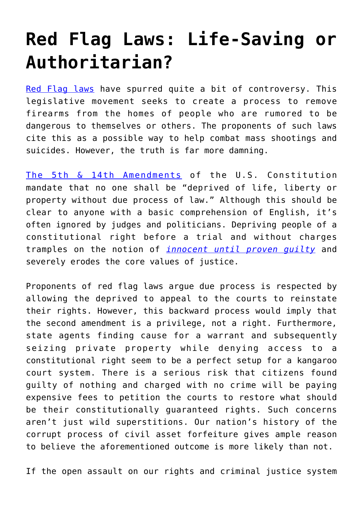## **[Red Flag Laws: Life-Saving or](https://intellectualtakeout.org/2019/01/red-flag-laws-life-saving-or-authoritarian/) [Authoritarian?](https://intellectualtakeout.org/2019/01/red-flag-laws-life-saving-or-authoritarian/)**

[Red Flag laws](https://www.usatoday.com/story/news/politics/2018/03/25/red-flag-laws-allow-temporary-restrictions-access-guns-gain-momentum-across-nation/454395002/) have spurred quite a bit of controversy. This legislative movement seeks to create a process to remove firearms from the homes of people who are rumored to be dangerous to themselves or others. The proponents of such laws cite this as a possible way to help combat mass shootings and suicides. However, the truth is far more damning.

[The 5th & 14th Amendments](https://www.law.cornell.edu/wex/due_process) of the U.S. Constitution mandate that no one shall be "deprived of life, liberty or property without due process of law." Although this should be clear to anyone with a basic comprehension of English, it's often ignored by judges and politicians. Depriving people of a constitutional right before a trial and without charges tramples on the notion of *[innocent until proven guilty](https://www.law.cornell.edu/wex/presumption_of_innocence)* and severely erodes the core values of justice.

Proponents of red flag laws argue due process is respected by allowing the deprived to appeal to the courts to reinstate their rights. However, this backward process would imply that the second amendment is a privilege, not a right. Furthermore, state agents finding cause for a warrant and subsequently seizing private property while denying access to a constitutional right seem to be a perfect setup for a kangaroo court system. There is a serious risk that citizens found guilty of nothing and charged with no crime will be paying expensive fees to petition the courts to restore what should be their constitutionally guaranteed rights. Such concerns aren't just wild superstitions. Our nation's history of the corrupt process of civil asset forfeiture gives ample reason to believe the aforementioned outcome is more likely than not.

If the open assault on our rights and criminal justice system